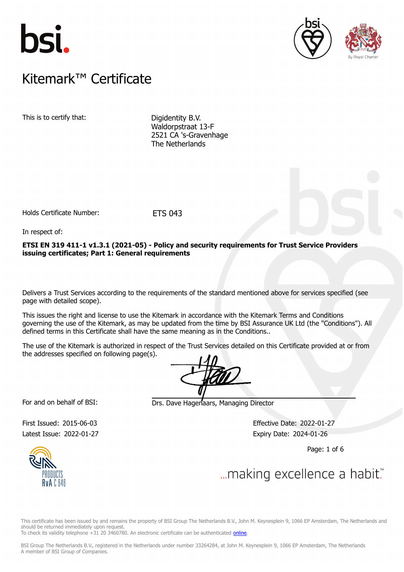





### $K$ itemark $W$  Certificate Kitemark™ Certificate

This is to certify that: Digidentity B.V.

Waldorpstraat 13-F 2521 CA 's-Gravenhage The Netherlands

Holds Certificate Number: ETS 043

In respect of:

**ETSI EN 319 411-1 v1.3.1 (2021-05) - Policy and security requirements for Trust Service Providers issuing certificates; Part 1: General requirements**

Delivers a Trust Services according to the requirements of the standard mentioned above for services specified (see page with detailed scope).

This issues the right and license to use the Kitemark in accordance with the Kitemark Terms and Conditions governing the use of the Kitemark, as may be updated from the time by BSI Assurance UK Ltd (the "Conditions"). All defined terms in this Certificate shall have the same meaning as in the Conditions..

The use of the Kitemark is authorized in respect of the Trust Services detailed on this Certificate provided at or from the addresses specified on following page(s).

For and on behalf of BSI: Drs. Dave Hagenaars, Managing Director

Latest Issue: 2022-01-27 Expiry Date: 2024-01-26

First Issued: 2015-06-03 Effective Date: 2022-01-27

Page: 1 of 6



... making excellence a habit."

This certificate has been issued by and remains the property of BSI Group The Netherlands B.V., John M. Keynesplein 9, 1066 EP Amsterdam, The Netherlands and should be returned immediately upon request.

To check its validity telephone +31 20 3460780. An electronic certificate can be authenticated [online.](https://pgplus.bsigroup.com/CertificateValidation/CertificateValidator.aspx?CertificateNumber=ETS+043&ReIssueDate=27%2f01%2f2022&Template=uk)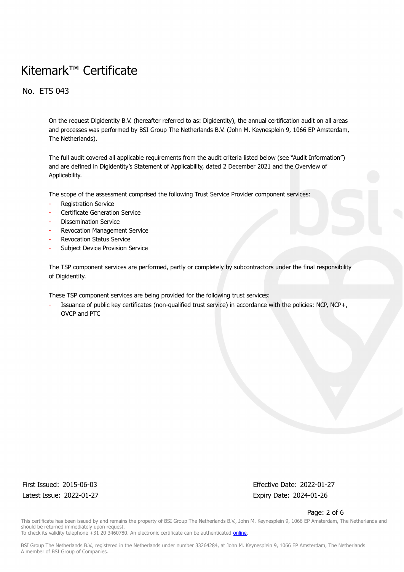No. ETS 043

On the request Digidentity B.V. (hereafter referred to as: Digidentity), the annual certification audit on all areas and processes was performed by BSI Group The Netherlands B.V. (John M. Keynesplein 9, 1066 EP Amsterdam, The Netherlands).

The full audit covered all applicable requirements from the audit criteria listed below (see "Audit Information") and are defined in Digidentity's Statement of Applicability, dated 2 December 2021 and the Overview of Applicability.

The scope of the assessment comprised the following Trust Service Provider component services:

- Registration Service
- Certificate Generation Service
- Dissemination Service
- Revocation Management Service
- Revocation Status Service
- Subject Device Provision Service

The TSP component services are performed, partly or completely by subcontractors under the final responsibility of Digidentity.

These TSP component services are being provided for the following trust services:

Issuance of public key certificates (non-qualified trust service) in accordance with the policies: NCP, NCP+, OVCP and PTC

Latest Issue: 2022-01-27 Expiry Date: 2024-01-26

First Issued: 2015-06-03 Effective Date: 2022-01-27

Page: 2 of 6

This certificate has been issued by and remains the property of BSI Group The Netherlands B.V., John M. Keynesplein 9, 1066 EP Amsterdam, The Netherlands and should be returned immediately upon request.

To check its validity telephone +31 20 3460780. An electronic certificate can be authenticated *online*.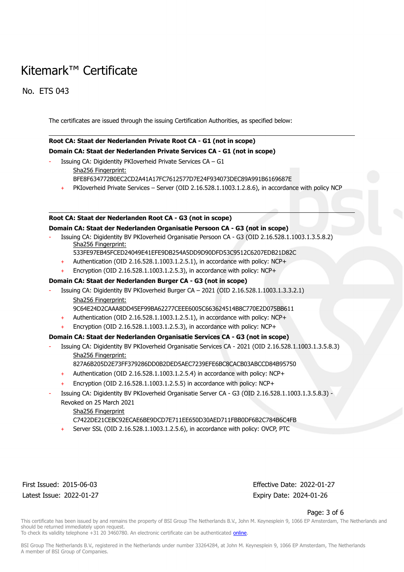No. ETS 043

The certificates are issued through the issuing Certification Authorities, as specified below:

### **Root CA: Staat der Nederlanden Private Root CA - G1 (not in scope) Domain CA: Staat der Nederlanden Private Services CA - G1 (not in scope)**

- Issuing CA: Digidentity PKIoverheid Private Services CA G1
	- Sha256 Fingerprint:
		- BFE8F634772B0EC2CD2A41A17FC7612577D7E24F934073DEC89A991B6169687E
		- PKIoverheid Private Services Server (OID 2.16.528.1.1003.1.2.8.6), in accordance with policy NCP

#### **Root CA: Staat der Nederlanden Root CA - G3 (not in scope)**

#### **Domain CA: Staat der Nederlanden Organisatie Persoon CA - G3 (not in scope)**

- Issuing CA: Digidentity BV PKIoverheid Organisatie Persoon CA G3 (OID 2.16.528.1.1003.1.3.5.8.2) Sha256 Fingerprint:
	- 533FE97EB45FCED24049E41EFE9DB254A5DD9D90DFD53C9512C6207EDB21D82C
	- + Authentication (OID 2.16.528.1.1003.1.2.5.1), in accordance with policy: NCP+
	- + Encryption (OID 2.16.528.1.1003.1.2.5.3), in accordance with policy: NCP+

#### **Domain CA: Staat der Nederlanden Burger CA - G3 (not in scope)**

- Issuing CA: Digidentity BV PKIoverheid Burger CA 2021 (OID 2.16.528.1.1003.1.3.3.2.1) Sha256 Fingerprint:
	- 9C64E24D2CAAA8DD45EF99BA62277CEEE6005C663624514B8C770E2D075BB611
	- + Authentication (OID 2.16.528.1.1003.1.2.5.1), in accordance with policy: NCP+
	- + Encryption (OID 2.16.528.1.1003.1.2.5.3), in accordance with policy: NCP+

#### **Domain CA: Staat der Nederlanden Organisatie Services CA - G3 (not in scope)**

- Issuing CA: Digidentity BV PKIoverheid Organisatie Services CA 2021 (OID 2.16.528.1.1003.1.3.5.8.3)
	- Sha256 Fingerprint:
	- 827A6B205D2E73FF379286DD0B2DED5AEC7239EFE6BC8CACB03ABCCD84B95750
	- + Authentication (OID 2.16.528.1.1003.1.2.5.4) in accordance with policy: NCP+
	- + Encryption (OID 2.16.528.1.1003.1.2.5.5) in accordance with policy: NCP+
- Issuing CA: Digidentity BV PKIoverheid Organisatie Server CA G3 (OID 2.16.528.1.1003.1.3.5.8.3) Revoked on 25 March 2021
	- Sha256 Fingerprint
	- C7422DE21CEBC92ECAE6BE9DCD7E711EE650D30AED711FBB0DF6B2C784B6C4FB
	- Server SSL (OID 2.16.528.1.1003.1.2.5.6), in accordance with policy: OVCP, PTC

Latest Issue: 2022-01-27 Expiry Date: 2024-01-26

First Issued: 2015-06-03 Effective Date: 2022-01-27

#### Page: 3 of 6

This certificate has been issued by and remains the property of BSI Group The Netherlands B.V., John M. Keynesplein 9, 1066 EP Amsterdam, The Netherlands and should be returned immediately upon request.

To check its validity telephone +31 20 3460780. An electronic certificate can be authenticated [online.](https://pgplus.bsigroup.com/CertificateValidation/CertificateValidator.aspx?CertificateNumber=ETS+043&ReIssueDate=27%2f01%2f2022&Template=uk)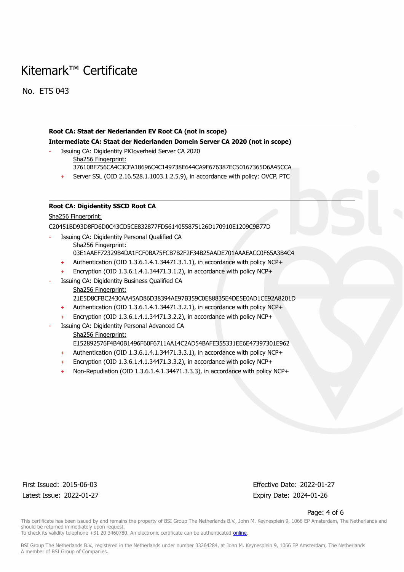No. ETS 043

#### **Root CA: Staat der Nederlanden EV Root CA (not in scope)**

**Intermediate CA: Staat der Nederlanden Domein Server CA 2020 (not in scope)**

- Issuing CA: Digidentity PKIoverheid Server CA 2020 Sha256 Fingerprint:
	- 37610BF756CA4C3CFA18696C4C149738E644CA9F676387EC50167365D6A45CCA
	- Server SSL (OID 2.16.528.1.1003.1.2.5.9), in accordance with policy: OVCP, PTC

#### **Root CA: Digidentity SSCD Root CA**

#### Sha256 Fingerprint:

C20451BD93D8FD6D0C43CD5CE832877FD5614055875126D170910E1209C9B77D

- Issuing CA: Digidentity Personal Qualified CA Sha256 Fingerprint: 03E1AAEF72329B4DA1FCF0BA75FCB7B2F2F34B25AADE701AAAEACC0F65A3B4C4
	- + Authentication (OID 1.3.6.1.4.1.34471.3.1.1), in accordance with policy NCP+
	- Encryption (OID  $1.3.6.1.4.1.34471.3.1.2$ ), in accordance with policy NCP+
- Issuing CA: Digidentity Business Qualified CA Sha256 Fingerprint: 21E5D8CFBC2430AA45AD86D38394AE97B359C0E88835E4DE5E0AD1CE92A8201D
	- + Authentication (OID 1.3.6.1.4.1.34471.3.2.1), in accordance with policy NCP+
	- Encryption (OID  $1.3.6.1.4.1.34471.3.2.2$ ), in accordance with policy NCP+
- Issuing CA: Digidentity Personal Advanced CA
	- Sha256 Fingerprint:
		- E152892576F4B40B1496F60F6711AA14C2AD54BAFE355331EE6E47397301E962
		- + Authentication (OID 1.3.6.1.4.1.34471.3.3.1), in accordance with policy NCP+
		- Encryption (OID  $1.3.6.1.4.1.34471.3.3.2$ ), in accordance with policy NCP+
		- Non-Repudiation (OID 1.3.6.1.4.1.34471.3.3.3), in accordance with policy NCP+

Latest Issue: 2022-01-27 Expiry Date: 2024-01-26

First Issued: 2015-06-03 Effective Date: 2022-01-27

#### Page: 4 of 6

This certificate has been issued by and remains the property of BSI Group The Netherlands B.V., John M. Keynesplein 9, 1066 EP Amsterdam, The Netherlands and should be returned immediately upon request.

To check its validity telephone +31 20 3460780. An electronic certificate can be authenticated [online.](https://pgplus.bsigroup.com/CertificateValidation/CertificateValidator.aspx?CertificateNumber=ETS+043&ReIssueDate=27%2f01%2f2022&Template=uk)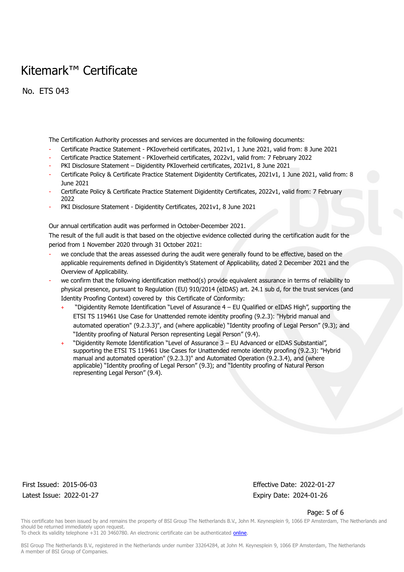No. ETS 043

The Certification Authority processes and services are documented in the following documents:

- Certificate Practice Statement PKIoverheid certificates, 2021v1, 1 June 2021, valid from: 8 June 2021
- Certificate Practice Statement PKIoverheid certificates, 2022v1, valid from: 7 February 2022
- PKI Disclosure Statement Digidentity PKIoverheid certificates, 2021v1, 8 June 2021
- Certificate Policy & Certificate Practice Statement Digidentity Certificates, 2021v1, 1 June 2021, valid from: 8 June 2021
- Certificate Policy & Certificate Practice Statement Digidentity Certificates, 2022v1, valid from: 7 February 2022
- PKI Disclosure Statement Digidentity Certificates, 2021v1, 8 June 2021

Our annual certification audit was performed in October-December 2021.

The result of the full audit is that based on the objective evidence collected during the certification audit for the period from 1 November 2020 through 31 October 2021:

- we conclude that the areas assessed during the audit were generally found to be effective, based on the applicable requirements defined in Digidentity's Statement of Applicability, dated 2 December 2021 and the Overview of Applicability.
- we confirm that the following identification method(s) provide equivalent assurance in terms of reliability to physical presence, pursuant to Regulation (EU) 910/2014 (eIDAS) art. 24.1 sub d, for the trust services (and Identity Proofing Context) covered by this Certificate of Conformity:
	- + "Digidentity Remote Identification "Level of Assurance 4 EU Qualified or eIDAS High", supporting the ETSI TS 119461 Use Case for Unattended remote identity proofing (9.2.3): "Hybrid manual and automated operation" (9.2.3.3)", and (where applicable) "Identity proofing of Legal Person" (9.3); and "Identity proofing of Natural Person representing Legal Person" (9.4).
	- + "Digidentity Remote Identification "Level of Assurance 3 EU Advanced or eIDAS Substantial", supporting the ETSI TS 119461 Use Cases for Unattended remote identity proofing (9.2.3): "Hybrid manual and automated operation" (9.2.3.3)" and Automated Operation (9.2.3.4), and (where applicable) "Identity proofing of Legal Person" (9.3); and "Identity proofing of Natural Person representing Legal Person" (9.4).

Latest Issue: 2022-01-27 Expiry Date: 2024-01-26

First Issued: 2015-06-03 Effective Date: 2022-01-27

#### Page: 5 of 6

This certificate has been issued by and remains the property of BSI Group The Netherlands B.V., John M. Keynesplein 9, 1066 EP Amsterdam, The Netherlands and should be returned immediately upon request.

To check its validity telephone +31 20 3460780. An electronic certificate can be authenticated [online.](https://pgplus.bsigroup.com/CertificateValidation/CertificateValidator.aspx?CertificateNumber=ETS+043&ReIssueDate=27%2f01%2f2022&Template=uk)